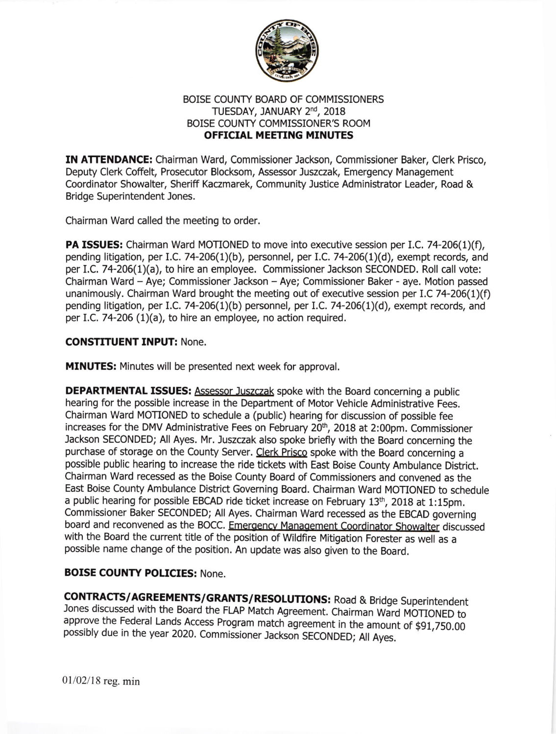

## BOISE COUNTY BOARD OF COMMISSIONERS TUESDAY, JANUARY 2<sup>nd</sup>, 2018 BOISE COUNTY COMMISSIONER'S ROOM OFFICIAL MEETING MINUTES

IN ATTENDANCE: Chairman Ward, Commissioner Jackson, Commissioner Baker, Clerk Prisco, Deputy Clerk Coffelt, Prosecutor Blocksom, Assessor Juszczak, Emergency Management Coordinator Showalter, Sheriff Kaczmarek, Community Justice Administrator Leader, Road & Bridge Superintendent Jones.

Chairman Ward called the meeting to order.

**PA ISSUES:** Chairman Ward MOTIONED to move into executive session per I.C. 74-206(1)(f), pending litigation, per I.C. 74-206(1)(b), personnel, per I.C. 74-206(1)(d), exempt records, and per 1.C.74-206(1)(a), to hire an employee. Commissioner Jackson SECONDED. Roll call vote: Chairman Ward - Aye; Commissioner Jackson - Aye; Commissioner Baker - aye. Motion passed unanimously. Chairman Ward brought the meeting out of executive session per I.C 74-206(1)(f) pending litigation, per I.C. 74-206(1)(b) personnel, per I.C. 74-206(1)(d), exempt records, and per I.C. 74-206 (1)(a), to hire an employee, no action required.

## CONSTITUENT INPUT: None.

MINUTES: Minutes will be presented next week for approval.

DEPARTMENTAL ISSUES: Assessor Juszczak spoke with the Board concerning a public hearing for the possible increase in the Department of Motor Vehicle Administrative Fees. Chairman Ward MOTIONED to schedule a (public) hearing for discussion of possible fee increases for the DMV Administrative Fees on February 20<sup>th</sup>, 2018 at 2:00pm. Commissioner Jackson SECONDED; All Ayes. Mr. Juszczak also spoke briefly with the Board concerning the purchase of storage on the County Server. Clerk Prisco spoke with the Board concerning a possible public hearing to increase the ride tickets with East Boise County Ambulance District. Chairman Ward recessed as the Boise County Board of Commissloners and convened as the East Boise County Ambulance District Governing Board. Chairman Ward MOTIONED to schedule a public hearing for possible EBCAD ride ticket increase on February 13<sup>th</sup>, 2018 at 1:15pm. commissioner Baker SECoNDED; All Ayes. chairman ward recessed as the EBCAD governing board and reconvened as the BOCC. Emergency Management Coordinator Showalter discussed with the Board the current title of the position of wildfire Mitigation Forester as well as <sup>a</sup> possible name change of the position. An update was also given to the Board.

## BOISE COUNTY POLICIES: None.

CONTRACTS/AGREEMENTS/GRANTS/RESOLUTIONS: Road & Bridge Superintendent Jones discussed with the Board the FLAP Match Agreement. Chairman Ward MOTIONED to approve the Federal Lands Access Program match agreement in the amount of \$91,750.00 possibly due in the year 2020. Commissioner Jackson SECONDED; All Ayes.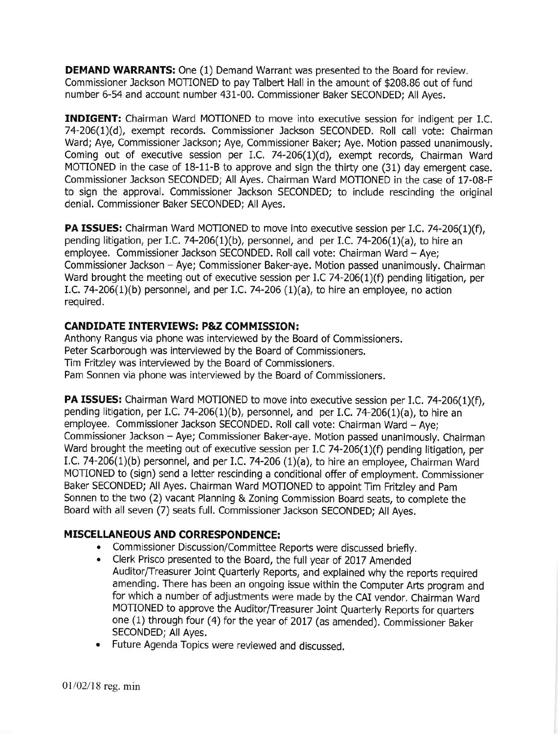**DEMAND WARRANTS:** One (1) Demand Warrant was presented to the Board for review. Commissioner Jackson MOTIONED to pay Talbert Hall in the amount of \$208.86 out of fund number 6-54 and account number 431-00. Commissioner Baker SECONDED; All Ayes.

INDIGENT: Chairman Ward MOTIONED to move into executive session for indigent per I.C. 74-206(1)(d), exempt records. Commissioner Jackson SECONDED, Roll call vote: Chairman Ward; Aye, Commissioner Jackson; Aye, Commissioner Baker; Aye, Motion passed unanimously. Coming out of executive session per I.C.  $74-206(1)(d)$ , exempt records, Chairman Ward MOTIONED in the case of 18-11-B to approve and sign the thirty one (31) day emergent case. Commissioner Jackson SECONDED; All Ayes. Chairman Ward MOTIONED in the case of 17-08-F to sign the approval. Commissioner Jackson SECONDED; to include rescinding the original denial. Commissioner Baker SECONDED; All Ayes.

PA ISSUES: Chairman Ward MOTIONED to move into executive session per I.C. 74-206(1)(f), pending litigation, per I.C. 74-206(1)(b), personnel, and per I.C. 74-206(1)(a), to hire an employee. Commissioner Jackson SECONDED. Roll call vote: Chairman Ward - Aye; Commissioner Jackson - Aye; Commissioner Baker-aye. Motion passed unanimously. Chairman Ward brought the meeting out of executive session per I.C 74-206(1)(f) pending litigation, per I.C. 74-206(1)(b) personnel, and per I.C. 74-206 (1)(a), to hire an employee, no action required,

### CANDIDATE INTERVIEWS: P&Z COMMISSION:

Anthony Rangus via phone was interviewed by the Board of Commissioners. Peter Scarborough was interviewed by the Board of Commissioners. Tim Fritzley was interviewed by the Board of Commissioners. Pam Sonnen via phone was interviewed by the Board of Commissioners.

PA ISSUES: Chairman Ward MOTIONED to move into executive session per I.C. 74-206(1)(f), pending litigation, per I.C. 74-206(1)(b), personnel, and per I.C. 74-206(1)(a), to hire an employee. Commissioner Jackson SECONDED. Roll call vote: Chairman Ward - Aye; Commissioner lackson - Aye; Commissioner Baker-aye. Motion passed unanimously. Chairman Ward brought the meeting out of executive session per I.C 74-206(1)(f) pending litigation, per I.C. 74-206(1)(b) personnel, and per I.C. 74-206 (1)(a), to hire an employee, Chairman Ward MOTIONED to (sign) send a letter rescinding a conditional offer of employment. Commissioner Baker SECONDED; All Ayes. Chairman Ward MOTIONED to appoint Tim Fritzley and Pam Sonnen to the two (2) vacant Planning & Zoning Commission Board seats, to complete the Board with all seven (7) seats full, Commissioner Jackson SECONDED; All Ayes.

# **MISCELLANEOUS AND CORRESPONDENCE:**

- Commissioner Discussion/Committee Reports were discussed briefly.<br>• Clerk Prisco presented to the Board, the full year of 2017 Amended
- . Clerk Prisco presented to the Board, the full year of 2017 Amended Auditor/Treasurer Joint Quarterly Reports, and explained why the reports required amending. There has been an ongoing issue within the Computer Arts program and for which a number of adjustments were made by the CAI vendor. Chairman Ward MOTIONED to approve the Auditor/Treasurer Joint Quarterly Reports for quarters one (1) through four (4) for the year of 2017 (as amended). Commissioner Baker SECONDED; All Ayes.
- . Future Agenda Topics were reviewed and discussed.